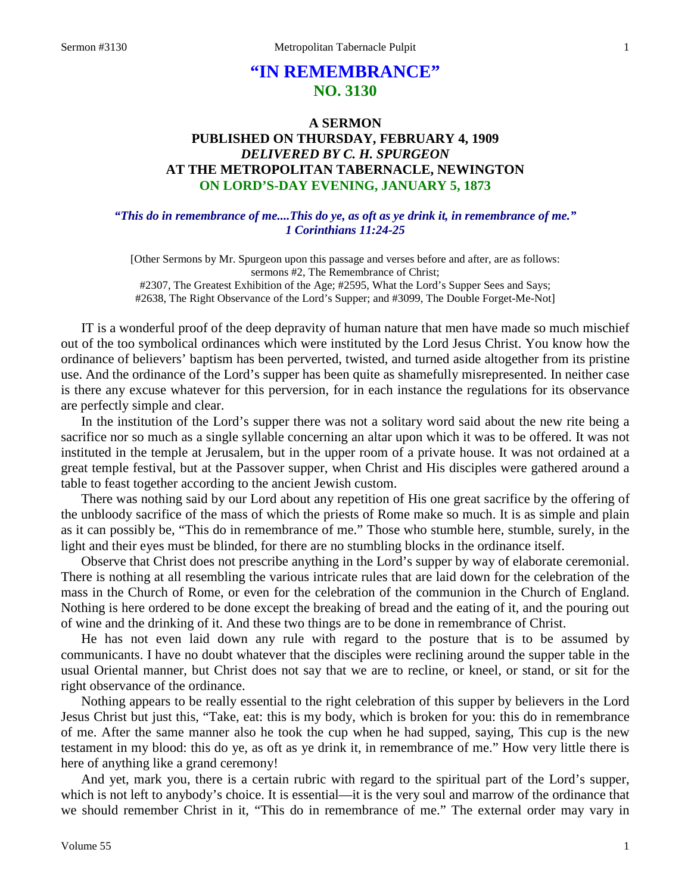# **"IN REMEMBRANCE" NO. 3130**

## **A SERMON PUBLISHED ON THURSDAY, FEBRUARY 4, 1909** *DELIVERED BY C. H. SPURGEON* **AT THE METROPOLITAN TABERNACLE, NEWINGTON ON LORD'S-DAY EVENING, JANUARY 5, 1873**

### *"This do in remembrance of me....This do ye, as oft as ye drink it, in remembrance of me." 1 Corinthians 11:24-25*

[Other Sermons by Mr. Spurgeon upon this passage and verses before and after, are as follows: sermons #2, The Remembrance of Christ; #2307, The Greatest Exhibition of the Age; #2595, What the Lord's Supper Sees and Says; #2638, The Right Observance of the Lord's Supper; and #3099, The Double Forget-Me-Not]

IT is a wonderful proof of the deep depravity of human nature that men have made so much mischief out of the too symbolical ordinances which were instituted by the Lord Jesus Christ. You know how the ordinance of believers' baptism has been perverted, twisted, and turned aside altogether from its pristine use. And the ordinance of the Lord's supper has been quite as shamefully misrepresented. In neither case is there any excuse whatever for this perversion, for in each instance the regulations for its observance are perfectly simple and clear.

In the institution of the Lord's supper there was not a solitary word said about the new rite being a sacrifice nor so much as a single syllable concerning an altar upon which it was to be offered. It was not instituted in the temple at Jerusalem, but in the upper room of a private house. It was not ordained at a great temple festival, but at the Passover supper, when Christ and His disciples were gathered around a table to feast together according to the ancient Jewish custom.

There was nothing said by our Lord about any repetition of His one great sacrifice by the offering of the unbloody sacrifice of the mass of which the priests of Rome make so much. It is as simple and plain as it can possibly be, "This do in remembrance of me." Those who stumble here, stumble, surely, in the light and their eyes must be blinded, for there are no stumbling blocks in the ordinance itself.

Observe that Christ does not prescribe anything in the Lord's supper by way of elaborate ceremonial. There is nothing at all resembling the various intricate rules that are laid down for the celebration of the mass in the Church of Rome, or even for the celebration of the communion in the Church of England. Nothing is here ordered to be done except the breaking of bread and the eating of it, and the pouring out of wine and the drinking of it. And these two things are to be done in remembrance of Christ.

He has not even laid down any rule with regard to the posture that is to be assumed by communicants. I have no doubt whatever that the disciples were reclining around the supper table in the usual Oriental manner, but Christ does not say that we are to recline, or kneel, or stand, or sit for the right observance of the ordinance.

Nothing appears to be really essential to the right celebration of this supper by believers in the Lord Jesus Christ but just this, "Take, eat: this is my body, which is broken for you: this do in remembrance of me. After the same manner also he took the cup when he had supped, saying, This cup is the new testament in my blood: this do ye, as oft as ye drink it, in remembrance of me." How very little there is here of anything like a grand ceremony!

And yet, mark you, there is a certain rubric with regard to the spiritual part of the Lord's supper, which is not left to anybody's choice. It is essential—it is the very soul and marrow of the ordinance that we should remember Christ in it, "This do in remembrance of me." The external order may vary in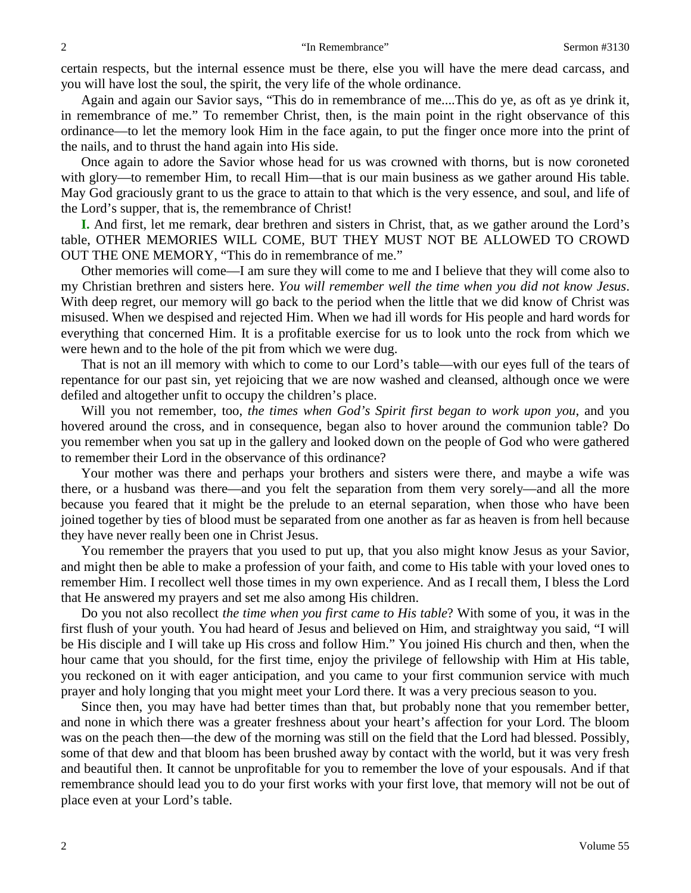certain respects, but the internal essence must be there, else you will have the mere dead carcass, and you will have lost the soul, the spirit, the very life of the whole ordinance.

Again and again our Savior says, "This do in remembrance of me....This do ye, as oft as ye drink it, in remembrance of me." To remember Christ, then, is the main point in the right observance of this ordinance—to let the memory look Him in the face again, to put the finger once more into the print of the nails, and to thrust the hand again into His side.

Once again to adore the Savior whose head for us was crowned with thorns, but is now coroneted with glory—to remember Him, to recall Him—that is our main business as we gather around His table. May God graciously grant to us the grace to attain to that which is the very essence, and soul, and life of the Lord's supper, that is, the remembrance of Christ!

**I.** And first, let me remark, dear brethren and sisters in Christ, that, as we gather around the Lord's table, OTHER MEMORIES WILL COME, BUT THEY MUST NOT BE ALLOWED TO CROWD OUT THE ONE MEMORY, "This do in remembrance of me."

Other memories will come—I am sure they will come to me and I believe that they will come also to my Christian brethren and sisters here. *You will remember well the time when you did not know Jesus*. With deep regret, our memory will go back to the period when the little that we did know of Christ was misused. When we despised and rejected Him. When we had ill words for His people and hard words for everything that concerned Him. It is a profitable exercise for us to look unto the rock from which we were hewn and to the hole of the pit from which we were dug.

That is not an ill memory with which to come to our Lord's table—with our eyes full of the tears of repentance for our past sin, yet rejoicing that we are now washed and cleansed, although once we were defiled and altogether unfit to occupy the children's place.

Will you not remember, too, *the times when God's Spirit first began to work upon you*, and you hovered around the cross, and in consequence, began also to hover around the communion table? Do you remember when you sat up in the gallery and looked down on the people of God who were gathered to remember their Lord in the observance of this ordinance?

Your mother was there and perhaps your brothers and sisters were there, and maybe a wife was there, or a husband was there—and you felt the separation from them very sorely—and all the more because you feared that it might be the prelude to an eternal separation, when those who have been joined together by ties of blood must be separated from one another as far as heaven is from hell because they have never really been one in Christ Jesus.

You remember the prayers that you used to put up, that you also might know Jesus as your Savior, and might then be able to make a profession of your faith, and come to His table with your loved ones to remember Him. I recollect well those times in my own experience. And as I recall them, I bless the Lord that He answered my prayers and set me also among His children.

Do you not also recollect *the time when you first came to His table*? With some of you, it was in the first flush of your youth. You had heard of Jesus and believed on Him, and straightway you said, "I will be His disciple and I will take up His cross and follow Him." You joined His church and then, when the hour came that you should, for the first time, enjoy the privilege of fellowship with Him at His table, you reckoned on it with eager anticipation, and you came to your first communion service with much prayer and holy longing that you might meet your Lord there. It was a very precious season to you.

Since then, you may have had better times than that, but probably none that you remember better, and none in which there was a greater freshness about your heart's affection for your Lord. The bloom was on the peach then—the dew of the morning was still on the field that the Lord had blessed. Possibly, some of that dew and that bloom has been brushed away by contact with the world, but it was very fresh and beautiful then. It cannot be unprofitable for you to remember the love of your espousals. And if that remembrance should lead you to do your first works with your first love, that memory will not be out of place even at your Lord's table.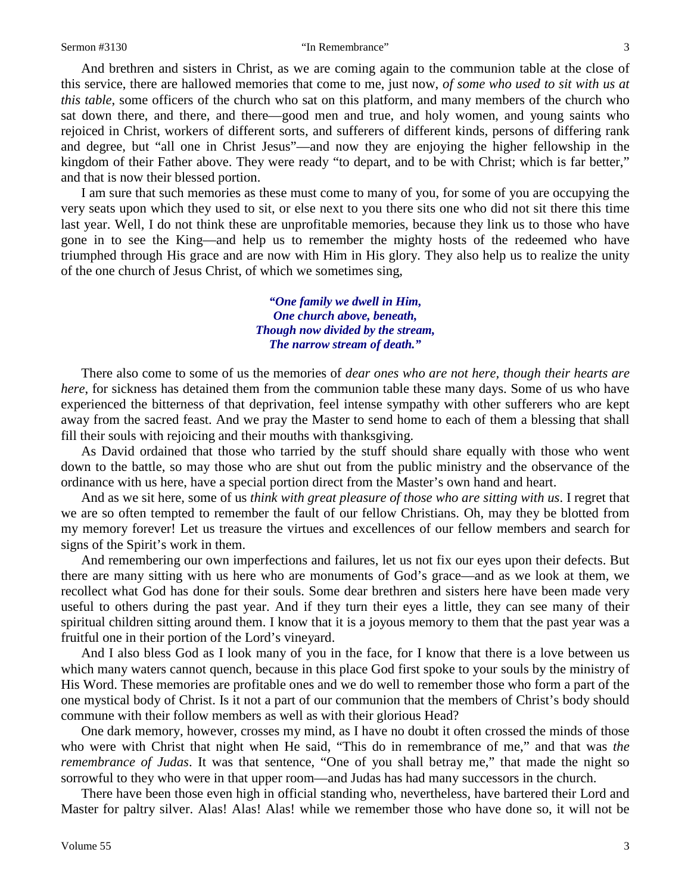#### Sermon #3130 **Sermon #3130** "In Remembrance" 3

And brethren and sisters in Christ, as we are coming again to the communion table at the close of this service, there are hallowed memories that come to me, just now, *of some who used to sit with us at this table*, some officers of the church who sat on this platform, and many members of the church who sat down there, and there, and there—good men and true, and holy women, and young saints who rejoiced in Christ, workers of different sorts, and sufferers of different kinds, persons of differing rank and degree, but "all one in Christ Jesus"—and now they are enjoying the higher fellowship in the kingdom of their Father above. They were ready "to depart, and to be with Christ; which is far better," and that is now their blessed portion.

I am sure that such memories as these must come to many of you, for some of you are occupying the very seats upon which they used to sit, or else next to you there sits one who did not sit there this time last year. Well, I do not think these are unprofitable memories, because they link us to those who have gone in to see the King—and help us to remember the mighty hosts of the redeemed who have triumphed through His grace and are now with Him in His glory. They also help us to realize the unity of the one church of Jesus Christ, of which we sometimes sing,

> *"One family we dwell in Him, One church above, beneath, Though now divided by the stream, The narrow stream of death."*

There also come to some of us the memories of *dear ones who are not here, though their hearts are here*, for sickness has detained them from the communion table these many days. Some of us who have experienced the bitterness of that deprivation, feel intense sympathy with other sufferers who are kept away from the sacred feast. And we pray the Master to send home to each of them a blessing that shall fill their souls with rejoicing and their mouths with thanksgiving.

As David ordained that those who tarried by the stuff should share equally with those who went down to the battle, so may those who are shut out from the public ministry and the observance of the ordinance with us here, have a special portion direct from the Master's own hand and heart.

And as we sit here, some of us *think with great pleasure of those who are sitting with us*. I regret that we are so often tempted to remember the fault of our fellow Christians. Oh, may they be blotted from my memory forever! Let us treasure the virtues and excellences of our fellow members and search for signs of the Spirit's work in them.

And remembering our own imperfections and failures, let us not fix our eyes upon their defects. But there are many sitting with us here who are monuments of God's grace—and as we look at them, we recollect what God has done for their souls. Some dear brethren and sisters here have been made very useful to others during the past year. And if they turn their eyes a little, they can see many of their spiritual children sitting around them. I know that it is a joyous memory to them that the past year was a fruitful one in their portion of the Lord's vineyard.

And I also bless God as I look many of you in the face, for I know that there is a love between us which many waters cannot quench, because in this place God first spoke to your souls by the ministry of His Word. These memories are profitable ones and we do well to remember those who form a part of the one mystical body of Christ. Is it not a part of our communion that the members of Christ's body should commune with their follow members as well as with their glorious Head?

One dark memory, however, crosses my mind, as I have no doubt it often crossed the minds of those who were with Christ that night when He said, "This do in remembrance of me," and that was *the remembrance of Judas*. It was that sentence, "One of you shall betray me," that made the night so sorrowful to they who were in that upper room—and Judas has had many successors in the church.

There have been those even high in official standing who, nevertheless, have bartered their Lord and Master for paltry silver. Alas! Alas! Alas! while we remember those who have done so, it will not be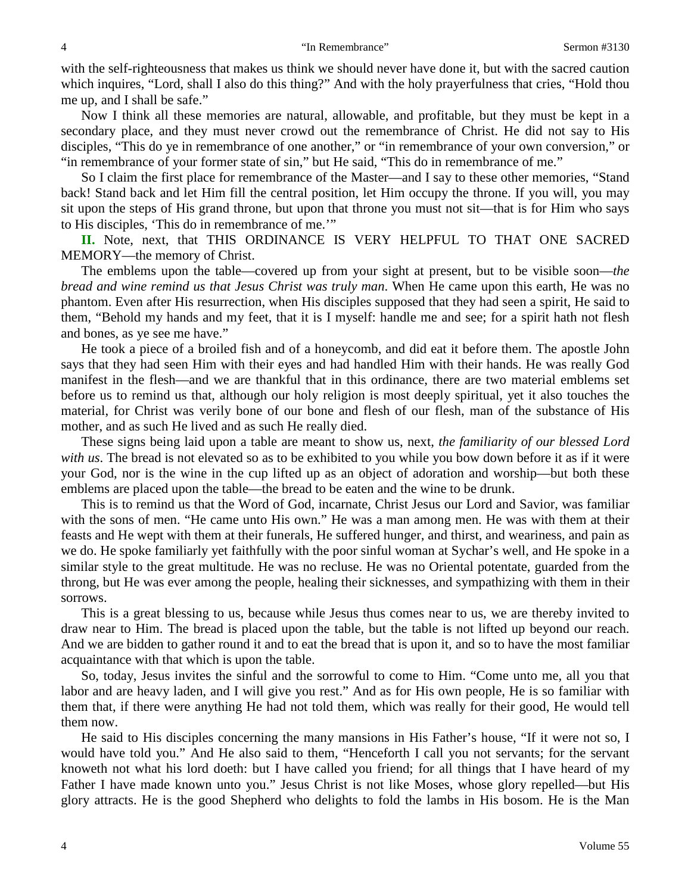with the self-righteousness that makes us think we should never have done it, but with the sacred caution which inquires, "Lord, shall I also do this thing?" And with the holy prayerfulness that cries, "Hold thou me up, and I shall be safe."

Now I think all these memories are natural, allowable, and profitable, but they must be kept in a secondary place, and they must never crowd out the remembrance of Christ. He did not say to His disciples, "This do ye in remembrance of one another," or "in remembrance of your own conversion," or "in remembrance of your former state of sin," but He said, "This do in remembrance of me."

So I claim the first place for remembrance of the Master—and I say to these other memories, "Stand back! Stand back and let Him fill the central position, let Him occupy the throne. If you will, you may sit upon the steps of His grand throne, but upon that throne you must not sit—that is for Him who says to His disciples, 'This do in remembrance of me.'"

**II.** Note, next, that THIS ORDINANCE IS VERY HELPFUL TO THAT ONE SACRED MEMORY—the memory of Christ.

The emblems upon the table—covered up from your sight at present, but to be visible soon—*the bread and wine remind us that Jesus Christ was truly man*. When He came upon this earth, He was no phantom. Even after His resurrection, when His disciples supposed that they had seen a spirit, He said to them, "Behold my hands and my feet, that it is I myself: handle me and see; for a spirit hath not flesh and bones, as ye see me have."

He took a piece of a broiled fish and of a honeycomb, and did eat it before them. The apostle John says that they had seen Him with their eyes and had handled Him with their hands. He was really God manifest in the flesh—and we are thankful that in this ordinance, there are two material emblems set before us to remind us that, although our holy religion is most deeply spiritual, yet it also touches the material, for Christ was verily bone of our bone and flesh of our flesh, man of the substance of His mother, and as such He lived and as such He really died.

These signs being laid upon a table are meant to show us, next, *the familiarity of our blessed Lord with us*. The bread is not elevated so as to be exhibited to you while you bow down before it as if it were your God, nor is the wine in the cup lifted up as an object of adoration and worship—but both these emblems are placed upon the table—the bread to be eaten and the wine to be drunk.

This is to remind us that the Word of God, incarnate, Christ Jesus our Lord and Savior, was familiar with the sons of men. "He came unto His own." He was a man among men. He was with them at their feasts and He wept with them at their funerals, He suffered hunger, and thirst, and weariness, and pain as we do. He spoke familiarly yet faithfully with the poor sinful woman at Sychar's well, and He spoke in a similar style to the great multitude. He was no recluse. He was no Oriental potentate, guarded from the throng, but He was ever among the people, healing their sicknesses, and sympathizing with them in their sorrows.

This is a great blessing to us, because while Jesus thus comes near to us, we are thereby invited to draw near to Him. The bread is placed upon the table, but the table is not lifted up beyond our reach. And we are bidden to gather round it and to eat the bread that is upon it, and so to have the most familiar acquaintance with that which is upon the table.

So, today, Jesus invites the sinful and the sorrowful to come to Him. "Come unto me, all you that labor and are heavy laden, and I will give you rest." And as for His own people, He is so familiar with them that, if there were anything He had not told them, which was really for their good, He would tell them now.

He said to His disciples concerning the many mansions in His Father's house, "If it were not so, I would have told you." And He also said to them, "Henceforth I call you not servants; for the servant knoweth not what his lord doeth: but I have called you friend; for all things that I have heard of my Father I have made known unto you." Jesus Christ is not like Moses, whose glory repelled—but His glory attracts. He is the good Shepherd who delights to fold the lambs in His bosom. He is the Man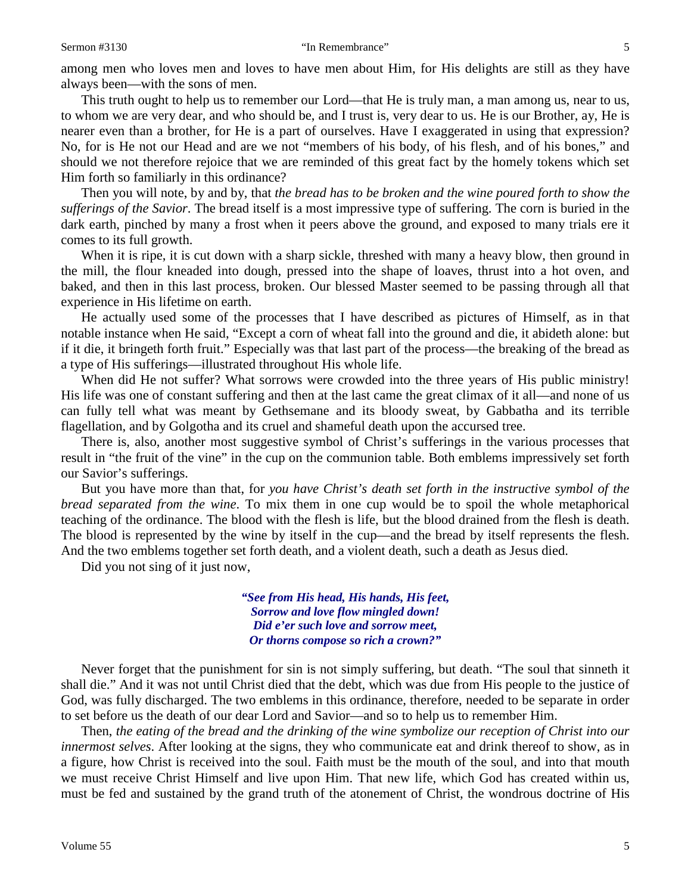among men who loves men and loves to have men about Him, for His delights are still as they have always been—with the sons of men.

This truth ought to help us to remember our Lord—that He is truly man, a man among us, near to us, to whom we are very dear, and who should be, and I trust is, very dear to us. He is our Brother, ay, He is nearer even than a brother, for He is a part of ourselves. Have I exaggerated in using that expression? No, for is He not our Head and are we not "members of his body, of his flesh, and of his bones," and should we not therefore rejoice that we are reminded of this great fact by the homely tokens which set Him forth so familiarly in this ordinance?

Then you will note, by and by, that *the bread has to be broken and the wine poured forth to show the sufferings of the Savior*. The bread itself is a most impressive type of suffering. The corn is buried in the dark earth, pinched by many a frost when it peers above the ground, and exposed to many trials ere it comes to its full growth.

When it is ripe, it is cut down with a sharp sickle, threshed with many a heavy blow, then ground in the mill, the flour kneaded into dough, pressed into the shape of loaves, thrust into a hot oven, and baked, and then in this last process, broken. Our blessed Master seemed to be passing through all that experience in His lifetime on earth.

He actually used some of the processes that I have described as pictures of Himself, as in that notable instance when He said, "Except a corn of wheat fall into the ground and die, it abideth alone: but if it die, it bringeth forth fruit." Especially was that last part of the process—the breaking of the bread as a type of His sufferings—illustrated throughout His whole life.

When did He not suffer? What sorrows were crowded into the three years of His public ministry! His life was one of constant suffering and then at the last came the great climax of it all—and none of us can fully tell what was meant by Gethsemane and its bloody sweat, by Gabbatha and its terrible flagellation, and by Golgotha and its cruel and shameful death upon the accursed tree.

There is, also, another most suggestive symbol of Christ's sufferings in the various processes that result in "the fruit of the vine" in the cup on the communion table. Both emblems impressively set forth our Savior's sufferings.

But you have more than that, for *you have Christ's death set forth in the instructive symbol of the bread separated from the wine*. To mix them in one cup would be to spoil the whole metaphorical teaching of the ordinance. The blood with the flesh is life, but the blood drained from the flesh is death. The blood is represented by the wine by itself in the cup—and the bread by itself represents the flesh. And the two emblems together set forth death, and a violent death, such a death as Jesus died.

Did you not sing of it just now,

*"See from His head, His hands, His feet, Sorrow and love flow mingled down! Did e'er such love and sorrow meet, Or thorns compose so rich a crown?"*

Never forget that the punishment for sin is not simply suffering, but death. "The soul that sinneth it shall die." And it was not until Christ died that the debt, which was due from His people to the justice of God, was fully discharged. The two emblems in this ordinance, therefore, needed to be separate in order to set before us the death of our dear Lord and Savior—and so to help us to remember Him.

Then, *the eating of the bread and the drinking of the wine symbolize our reception of Christ into our innermost selves*. After looking at the signs, they who communicate eat and drink thereof to show, as in a figure, how Christ is received into the soul. Faith must be the mouth of the soul, and into that mouth we must receive Christ Himself and live upon Him. That new life, which God has created within us, must be fed and sustained by the grand truth of the atonement of Christ, the wondrous doctrine of His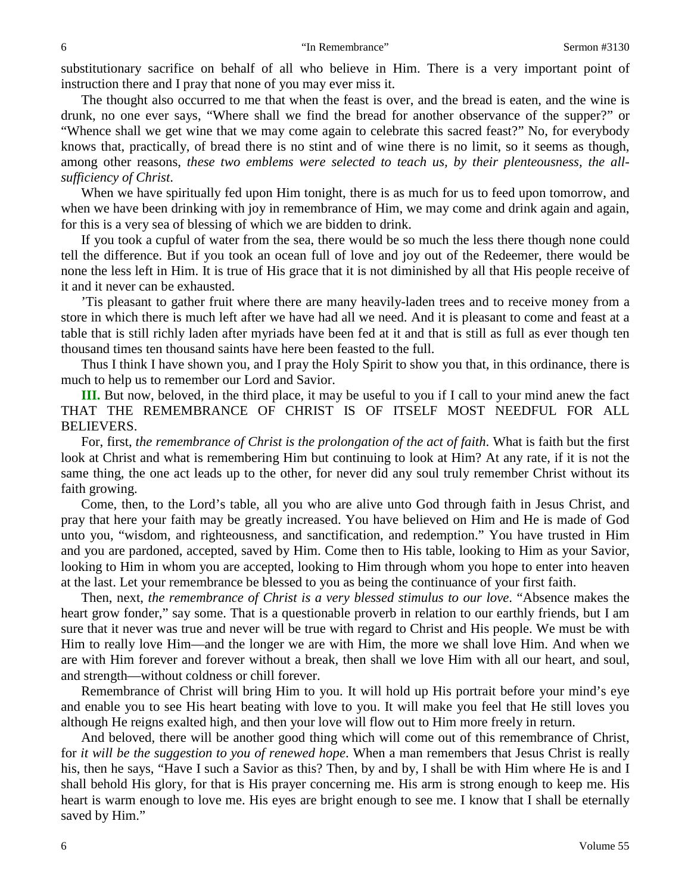substitutionary sacrifice on behalf of all who believe in Him. There is a very important point of instruction there and I pray that none of you may ever miss it.

The thought also occurred to me that when the feast is over, and the bread is eaten, and the wine is drunk, no one ever says, "Where shall we find the bread for another observance of the supper?" or "Whence shall we get wine that we may come again to celebrate this sacred feast?" No, for everybody knows that, practically, of bread there is no stint and of wine there is no limit, so it seems as though, among other reasons, *these two emblems were selected to teach us, by their plenteousness, the allsufficiency of Christ*.

When we have spiritually fed upon Him tonight, there is as much for us to feed upon tomorrow, and when we have been drinking with joy in remembrance of Him, we may come and drink again and again, for this is a very sea of blessing of which we are bidden to drink.

If you took a cupful of water from the sea, there would be so much the less there though none could tell the difference. But if you took an ocean full of love and joy out of the Redeemer, there would be none the less left in Him. It is true of His grace that it is not diminished by all that His people receive of it and it never can be exhausted.

'Tis pleasant to gather fruit where there are many heavily-laden trees and to receive money from a store in which there is much left after we have had all we need. And it is pleasant to come and feast at a table that is still richly laden after myriads have been fed at it and that is still as full as ever though ten thousand times ten thousand saints have here been feasted to the full.

Thus I think I have shown you, and I pray the Holy Spirit to show you that, in this ordinance, there is much to help us to remember our Lord and Savior.

**III.** But now, beloved, in the third place, it may be useful to you if I call to your mind anew the fact THAT THE REMEMBRANCE OF CHRIST IS OF ITSELF MOST NEEDFUL FOR ALL BELIEVERS.

For, first, *the remembrance of Christ is the prolongation of the act of faith*. What is faith but the first look at Christ and what is remembering Him but continuing to look at Him? At any rate, if it is not the same thing, the one act leads up to the other, for never did any soul truly remember Christ without its faith growing.

Come, then, to the Lord's table, all you who are alive unto God through faith in Jesus Christ, and pray that here your faith may be greatly increased. You have believed on Him and He is made of God unto you, "wisdom, and righteousness, and sanctification, and redemption." You have trusted in Him and you are pardoned, accepted, saved by Him. Come then to His table, looking to Him as your Savior, looking to Him in whom you are accepted, looking to Him through whom you hope to enter into heaven at the last. Let your remembrance be blessed to you as being the continuance of your first faith.

Then, next, *the remembrance of Christ is a very blessed stimulus to our love*. "Absence makes the heart grow fonder," say some. That is a questionable proverb in relation to our earthly friends, but I am sure that it never was true and never will be true with regard to Christ and His people. We must be with Him to really love Him—and the longer we are with Him, the more we shall love Him. And when we are with Him forever and forever without a break, then shall we love Him with all our heart, and soul, and strength—without coldness or chill forever.

Remembrance of Christ will bring Him to you. It will hold up His portrait before your mind's eye and enable you to see His heart beating with love to you. It will make you feel that He still loves you although He reigns exalted high, and then your love will flow out to Him more freely in return.

And beloved, there will be another good thing which will come out of this remembrance of Christ, for *it will be the suggestion to you of renewed hope*. When a man remembers that Jesus Christ is really his, then he says, "Have I such a Savior as this? Then, by and by, I shall be with Him where He is and I shall behold His glory, for that is His prayer concerning me. His arm is strong enough to keep me. His heart is warm enough to love me. His eyes are bright enough to see me. I know that I shall be eternally saved by Him."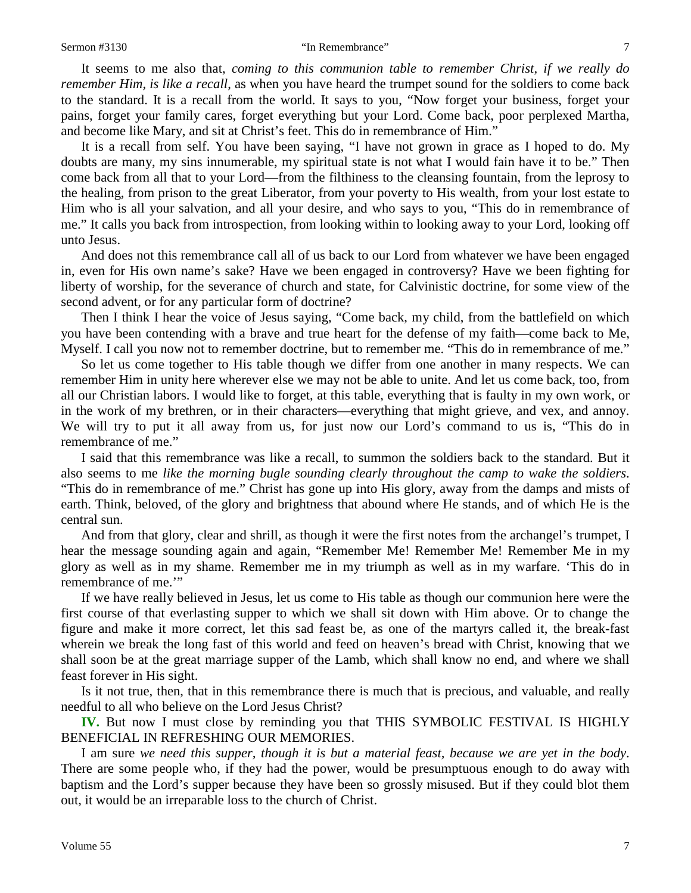It seems to me also that, *coming to this communion table to remember Christ, if we really do remember Him, is like a recall,* as when you have heard the trumpet sound for the soldiers to come back to the standard. It is a recall from the world. It says to you, "Now forget your business, forget your pains, forget your family cares, forget everything but your Lord. Come back, poor perplexed Martha, and become like Mary, and sit at Christ's feet. This do in remembrance of Him."

It is a recall from self. You have been saying, "I have not grown in grace as I hoped to do. My doubts are many, my sins innumerable, my spiritual state is not what I would fain have it to be." Then come back from all that to your Lord—from the filthiness to the cleansing fountain, from the leprosy to the healing, from prison to the great Liberator, from your poverty to His wealth, from your lost estate to Him who is all your salvation, and all your desire, and who says to you, "This do in remembrance of me." It calls you back from introspection, from looking within to looking away to your Lord, looking off unto Jesus.

And does not this remembrance call all of us back to our Lord from whatever we have been engaged in, even for His own name's sake? Have we been engaged in controversy? Have we been fighting for liberty of worship, for the severance of church and state, for Calvinistic doctrine, for some view of the second advent, or for any particular form of doctrine?

Then I think I hear the voice of Jesus saying, "Come back, my child, from the battlefield on which you have been contending with a brave and true heart for the defense of my faith—come back to Me, Myself. I call you now not to remember doctrine, but to remember me. "This do in remembrance of me."

So let us come together to His table though we differ from one another in many respects. We can remember Him in unity here wherever else we may not be able to unite. And let us come back, too, from all our Christian labors. I would like to forget, at this table, everything that is faulty in my own work, or in the work of my brethren, or in their characters—everything that might grieve, and vex, and annoy. We will try to put it all away from us, for just now our Lord's command to us is, "This do in remembrance of me."

I said that this remembrance was like a recall, to summon the soldiers back to the standard. But it also seems to me *like the morning bugle sounding clearly throughout the camp to wake the soldiers*. "This do in remembrance of me." Christ has gone up into His glory, away from the damps and mists of earth. Think, beloved, of the glory and brightness that abound where He stands, and of which He is the central sun.

And from that glory, clear and shrill, as though it were the first notes from the archangel's trumpet, I hear the message sounding again and again, "Remember Me! Remember Me! Remember Me in my glory as well as in my shame. Remember me in my triumph as well as in my warfare. 'This do in remembrance of me.'"

If we have really believed in Jesus, let us come to His table as though our communion here were the first course of that everlasting supper to which we shall sit down with Him above. Or to change the figure and make it more correct, let this sad feast be, as one of the martyrs called it, the break-fast wherein we break the long fast of this world and feed on heaven's bread with Christ, knowing that we shall soon be at the great marriage supper of the Lamb, which shall know no end, and where we shall feast forever in His sight.

Is it not true, then, that in this remembrance there is much that is precious, and valuable, and really needful to all who believe on the Lord Jesus Christ?

**IV.** But now I must close by reminding you that THIS SYMBOLIC FESTIVAL IS HIGHLY BENEFICIAL IN REFRESHING OUR MEMORIES.

I am sure *we need this supper, though it is but a material feast, because we are yet in the body*. There are some people who, if they had the power, would be presumptuous enough to do away with baptism and the Lord's supper because they have been so grossly misused. But if they could blot them out, it would be an irreparable loss to the church of Christ.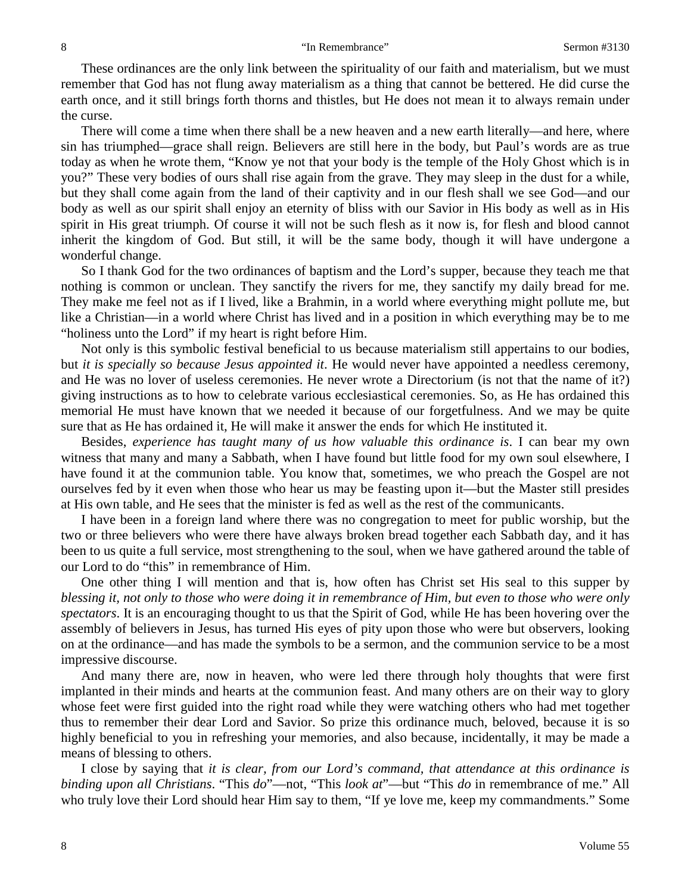#### 8 "In Remembrance" Sermon #3130

These ordinances are the only link between the spirituality of our faith and materialism, but we must remember that God has not flung away materialism as a thing that cannot be bettered. He did curse the earth once, and it still brings forth thorns and thistles, but He does not mean it to always remain under the curse.

There will come a time when there shall be a new heaven and a new earth literally—and here, where sin has triumphed—grace shall reign. Believers are still here in the body, but Paul's words are as true today as when he wrote them, "Know ye not that your body is the temple of the Holy Ghost which is in you?" These very bodies of ours shall rise again from the grave. They may sleep in the dust for a while, but they shall come again from the land of their captivity and in our flesh shall we see God—and our body as well as our spirit shall enjoy an eternity of bliss with our Savior in His body as well as in His spirit in His great triumph. Of course it will not be such flesh as it now is, for flesh and blood cannot inherit the kingdom of God. But still, it will be the same body, though it will have undergone a wonderful change.

So I thank God for the two ordinances of baptism and the Lord's supper, because they teach me that nothing is common or unclean. They sanctify the rivers for me, they sanctify my daily bread for me. They make me feel not as if I lived, like a Brahmin, in a world where everything might pollute me, but like a Christian—in a world where Christ has lived and in a position in which everything may be to me "holiness unto the Lord" if my heart is right before Him.

Not only is this symbolic festival beneficial to us because materialism still appertains to our bodies, but *it is specially so because Jesus appointed it*. He would never have appointed a needless ceremony, and He was no lover of useless ceremonies. He never wrote a Directorium (is not that the name of it?) giving instructions as to how to celebrate various ecclesiastical ceremonies. So, as He has ordained this memorial He must have known that we needed it because of our forgetfulness. And we may be quite sure that as He has ordained it, He will make it answer the ends for which He instituted it.

Besides, *experience has taught many of us how valuable this ordinance is*. I can bear my own witness that many and many a Sabbath, when I have found but little food for my own soul elsewhere, I have found it at the communion table. You know that, sometimes, we who preach the Gospel are not ourselves fed by it even when those who hear us may be feasting upon it—but the Master still presides at His own table, and He sees that the minister is fed as well as the rest of the communicants.

I have been in a foreign land where there was no congregation to meet for public worship, but the two or three believers who were there have always broken bread together each Sabbath day, and it has been to us quite a full service, most strengthening to the soul, when we have gathered around the table of our Lord to do "this" in remembrance of Him.

One other thing I will mention and that is, how often has Christ set His seal to this supper by *blessing it, not only to those who were doing it in remembrance of Him, but even to those who were only spectators*. It is an encouraging thought to us that the Spirit of God, while He has been hovering over the assembly of believers in Jesus, has turned His eyes of pity upon those who were but observers, looking on at the ordinance—and has made the symbols to be a sermon, and the communion service to be a most impressive discourse.

And many there are, now in heaven, who were led there through holy thoughts that were first implanted in their minds and hearts at the communion feast. And many others are on their way to glory whose feet were first guided into the right road while they were watching others who had met together thus to remember their dear Lord and Savior. So prize this ordinance much, beloved, because it is so highly beneficial to you in refreshing your memories, and also because, incidentally, it may be made a means of blessing to others.

I close by saying that *it is clear, from our Lord's command, that attendance at this ordinance is binding upon all Christians*. "This *do*"—not, "This *look at*"—but "This *do* in remembrance of me." All who truly love their Lord should hear Him say to them, "If ye love me, keep my commandments." Some